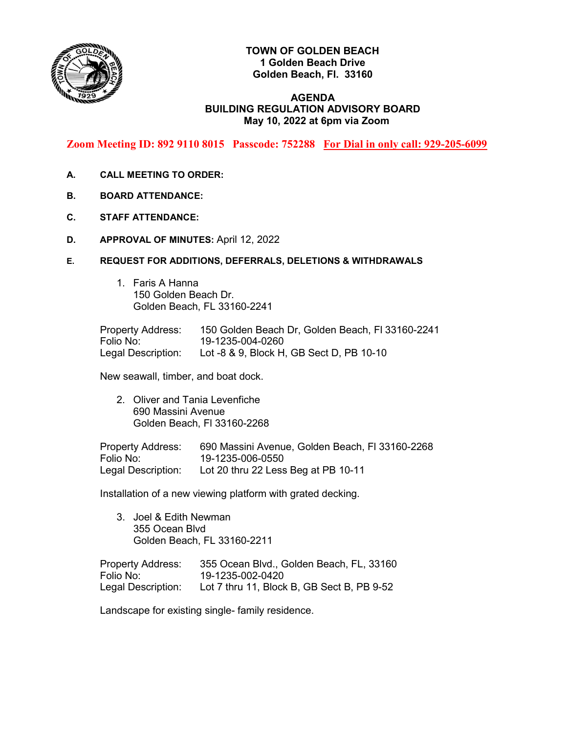

# **TOWN OF GOLDEN BEACH 1 Golden Beach Drive Golden Beach, Fl. 33160**

## **AGENDA BUILDING REGULATION ADVISORY BOARD May 10, 2022 at 6pm via Zoom**

**Zoom Meeting ID: 892 9110 8015 Passcode: 752288 For Dial in only call: 929-205-6099**

- **A. CALL MEETING TO ORDER:**
- **B. BOARD ATTENDANCE:**
- **C. STAFF ATTENDANCE:**
- **D. APPROVAL OF MINUTES:** April 12, 2022
- **E. REQUEST FOR ADDITIONS, DEFERRALS, DELETIONS & WITHDRAWALS**
	- 1. Faris A Hanna 150 Golden Beach Dr. Golden Beach, FL 33160-2241

Property Address: 150 Golden Beach Dr, Golden Beach, Fl 33160-2241 Folio No: 19-1235-004-0260 Legal Description: Lot -8 & 9, Block H, GB Sect D, PB 10-10

New seawall, timber, and boat dock.

2. Oliver and Tania Levenfiche 690 Massini Avenue Golden Beach, Fl 33160-2268

Property Address: 690 Massini Avenue, Golden Beach, Fl 33160-2268 Folio No: 19-1235-006-0550 Legal Description: Lot 20 thru 22 Less Beg at PB 10-11

Installation of a new viewing platform with grated decking.

3. Joel & Edith Newman 355 Ocean Blvd Golden Beach, FL 33160-2211

Property Address: 355 Ocean Blvd., Golden Beach, FL, 33160 Folio No: 19-1235-002-0420 Legal Description: Lot 7 thru 11, Block B, GB Sect B, PB 9-52

Landscape for existing single- family residence.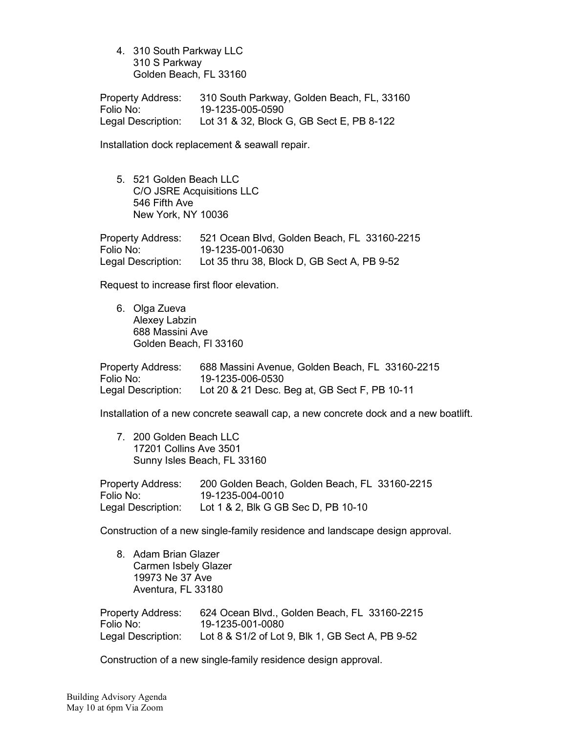4. 310 South Parkway LLC 310 S Parkway Golden Beach, FL 33160

Property Address: 310 South Parkway, Golden Beach, FL, 33160 Folio No: 19-1235-005-0590 Legal Description: Lot 31 & 32, Block G, GB Sect E, PB 8-122

Installation dock replacement & seawall repair.

5. 521 Golden Beach LLC C/O JSRE Acquisitions LLC 546 Fifth Ave New York, NY 10036

Property Address: 521 Ocean Blvd, Golden Beach, FL 33160-2215 Folio No: 19-1235-001-0630 Legal Description: Lot 35 thru 38, Block D, GB Sect A, PB 9-52

Request to increase first floor elevation.

6. Olga Zueva Alexey Labzin 688 Massini Ave Golden Beach, Fl 33160

| <b>Property Address:</b> | 688 Massini Avenue, Golden Beach, FL 33160-2215 |
|--------------------------|-------------------------------------------------|
| Folio No:                | 19-1235-006-0530                                |
| Legal Description:       | Lot 20 & 21 Desc. Beg at, GB Sect F, PB 10-11   |

Installation of a new concrete seawall cap, a new concrete dock and a new boatlift.

7. 200 Golden Beach LLC 17201 Collins Ave 3501 Sunny Isles Beach, FL 33160

| <b>Property Address:</b> | 200 Golden Beach, Golden Beach, FL 33160-2215 |
|--------------------------|-----------------------------------------------|
| Folio No:                | 19-1235-004-0010                              |
| Legal Description:       | Lot 1 & 2, Blk G GB Sec D, PB 10-10           |

Construction of a new single-family residence and landscape design approval.

8. Adam Brian Glazer Carmen Isbely Glazer 19973 Ne 37 Ave Aventura, FL 33180

| <b>Property Address:</b> | 624 Ocean Blvd., Golden Beach, FL 33160-2215     |
|--------------------------|--------------------------------------------------|
| Folio No:                | 19-1235-001-0080                                 |
| Legal Description:       | Lot 8 & S1/2 of Lot 9, Blk 1, GB Sect A, PB 9-52 |

Construction of a new single-family residence design approval.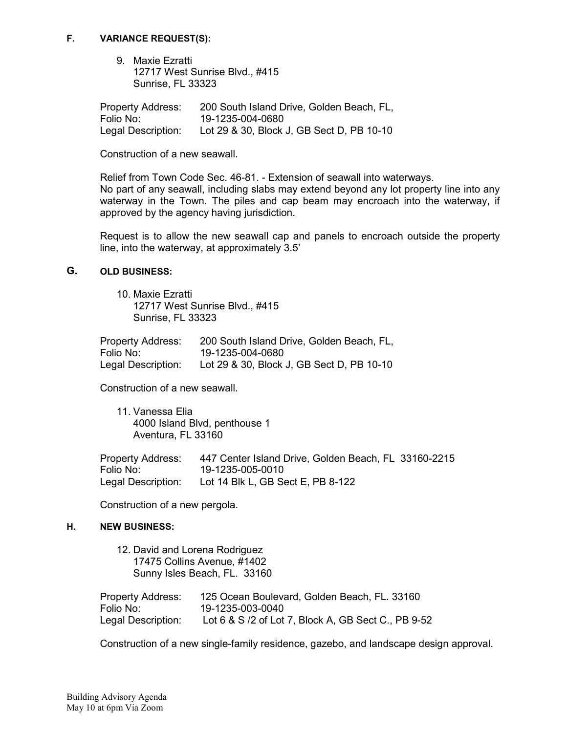#### **F. VARIANCE REQUEST(S):**

9. Maxie Ezratti 12717 West Sunrise Blvd., #415 Sunrise, FL 33323

Property Address: 200 South Island Drive, Golden Beach, FL,<br>Folio No: 19-1235-004-0680 Folio No: 19-1235-004-0680 Lot 29 & 30, Block J, GB Sect D, PB 10-10

Construction of a new seawall.

Relief from Town Code Sec. 46-81. - Extension of seawall into waterways. No part of any seawall, including slabs may extend beyond any lot property line into any waterway in the Town. The piles and cap beam may encroach into the waterway, if approved by the agency having jurisdiction.

Request is to allow the new seawall cap and panels to encroach outside the property line, into the waterway, at approximately 3.5'

### **G. OLD BUSINESS:**

10. Maxie Ezratti 12717 West Sunrise Blvd., #415 Sunrise, FL 33323

| <b>Property Address:</b> | 200 South Island Drive, Golden Beach, FL, |
|--------------------------|-------------------------------------------|
| Folio No:                | 19-1235-004-0680                          |
| Legal Description:       | Lot 29 & 30, Block J, GB Sect D, PB 10-10 |

Construction of a new seawall.

11. Vanessa Elia 4000 Island Blvd, penthouse 1 Aventura, FL 33160

| Property Address:  | 447 Center Island Drive, Golden Beach, FL 33160-2215 |
|--------------------|------------------------------------------------------|
| Folio No:          | 19-1235-005-0010                                     |
| Legal Description: | Lot 14 Blk L, GB Sect E, PB 8-122                    |

Construction of a new pergola.

#### **H. NEW BUSINESS:**

| 12. David and Lorena Rodriguez  | 17475 Collins Avenue, #1402<br>Sunny Isles Beach, FL. 33160      |
|---------------------------------|------------------------------------------------------------------|
| <b>Property Address:</b>        | 125 Ocean Boulevard, Golden Beach, FL. 33160<br>19-1235-003-0040 |
| Folio No:<br>Legal Description: | Lot 6 & S /2 of Lot 7, Block A, GB Sect C., PB 9-52              |

Construction of a new single-family residence, gazebo, and landscape design approval.